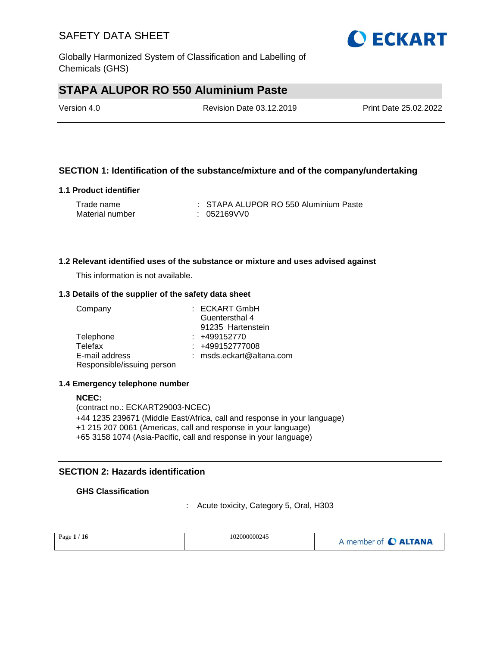

Globally Harmonized System of Classification and Labelling of Chemicals (GHS)

# **STAPA ALUPOR RO 550 Aluminium Paste**

| Version 4.0 | Revision Date 03.12.2019 | Print Date 25.02.2022 |
|-------------|--------------------------|-----------------------|
|             |                          |                       |

### **SECTION 1: Identification of the substance/mixture and of the company/undertaking**

#### **1.1 Product identifier**

| Trade name      | : STAPA ALUPOR RO 550 Aluminium Paste |
|-----------------|---------------------------------------|
| Material number | : 052169VV0                           |

#### **1.2 Relevant identified uses of the substance or mixture and uses advised against**

This information is not available.

#### **1.3 Details of the supplier of the safety data sheet**

| Company                    | : ECKART GmbH              |
|----------------------------|----------------------------|
|                            | Guentersthal 4             |
|                            | 91235 Hartenstein          |
| Telephone                  | $: +499152770$             |
| Telefax                    | $: +499152777008$          |
| E-mail address             | $:$ msds.eckart@altana.com |
| Responsible/issuing person |                            |

#### **1.4 Emergency telephone number**

**NCEC:** (contract no.: ECKART29003-NCEC) +44 1235 239671 (Middle East/Africa, call and response in your language) +1 215 207 0061 (Americas, call and response in your language) +65 3158 1074 (Asia-Pacific, call and response in your language)

### **SECTION 2: Hazards identification**

#### **GHS Classification**

: Acute toxicity, Category 5, Oral, H303

| Page $1/$<br>$^{\prime}$ 16 | 102000000245 | A member of <b>C ALTANA</b> |
|-----------------------------|--------------|-----------------------------|
|-----------------------------|--------------|-----------------------------|

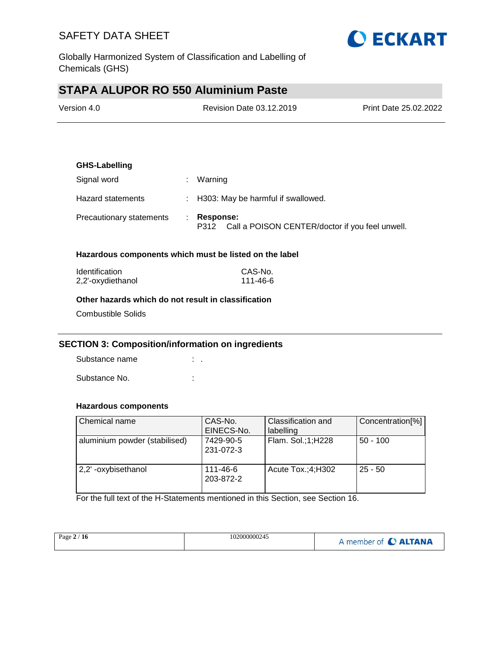

Globally Harmonized System of Classification and Labelling of Chemicals (GHS)

# **STAPA ALUPOR RO 550 Aluminium Paste**

| Version 4.0 | Revision Date 03.12.2019 | <b>Print Date 25.02.2022</b> |
|-------------|--------------------------|------------------------------|
|             |                          |                              |

# **GHS-Labelling** Signal word : Warning Hazard statements : H303: May be harmful if swallowed. Precautionary statements : **Response:**  P312 Call a POISON CENTER/doctor if you feel unwell.

#### **Hazardous components which must be listed on the label**

| <b>Identification</b> | CAS-No.  |
|-----------------------|----------|
| 2,2'-oxydiethanol     | 111-46-6 |

#### **Other hazards which do not result in classification**

Combustible Solids

#### **SECTION 3: Composition/information on ingredients**

Substance name : . Substance No. **:**  $\qquad \qquad$  :

#### **Hazardous components**

| Chemical name                 | CAS-No.<br>EINECS-No.  | Classification and<br>labelling | Concentration[%] |
|-------------------------------|------------------------|---------------------------------|------------------|
| aluminium powder (stabilised) | 7429-90-5<br>231-072-3 | Flam. Sol.;1;H228               | $50 - 100$       |
| 2,2'-oxybisethanol            | 111-46-6<br>203-872-2  | Acute $Tox$ : 4; H302           | $25 - 50$        |

For the full text of the H-Statements mentioned in this Section, see Section 16.

| Page $2/16$ | 102000000245 | A member of C ALTANA |
|-------------|--------------|----------------------|
|             |              |                      |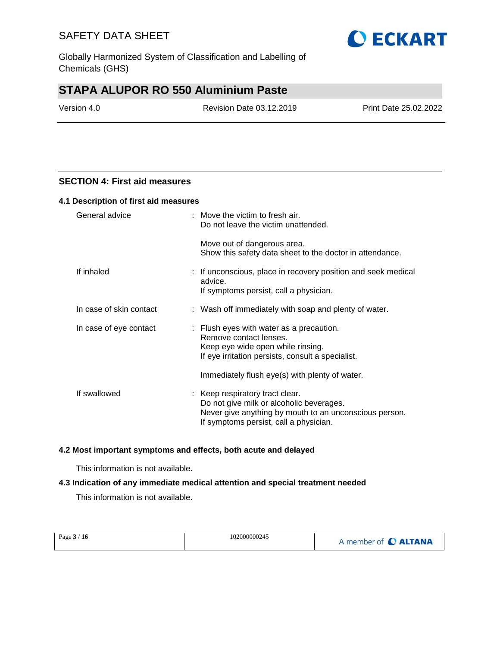Globally Harmonized System of Classification and Labelling of Chemicals (GHS)

# **STAPA ALUPOR RO 550 Aluminium Paste**

Version 4.0 Revision Date 03.12.2019 Print Date 25.02.2022

**O ECKART** 

#### **SECTION 4: First aid measures**

#### **4.1 Description of first aid measures**

| General advice          | : Move the victim to fresh air.<br>Do not leave the victim unattended.                                                                                                          |
|-------------------------|---------------------------------------------------------------------------------------------------------------------------------------------------------------------------------|
|                         | Move out of dangerous area.<br>Show this safety data sheet to the doctor in attendance.                                                                                         |
| If inhaled              | : If unconscious, place in recovery position and seek medical<br>advice.<br>If symptoms persist, call a physician.                                                              |
| In case of skin contact | : Wash off immediately with soap and plenty of water.                                                                                                                           |
| In case of eye contact  | : Flush eyes with water as a precaution.<br>Remove contact lenses.<br>Keep eye wide open while rinsing.<br>If eye irritation persists, consult a specialist.                    |
|                         | Immediately flush eye(s) with plenty of water.                                                                                                                                  |
| If swallowed            | : Keep respiratory tract clear.<br>Do not give milk or alcoholic beverages.<br>Never give anything by mouth to an unconscious person.<br>If symptoms persist, call a physician. |

#### **4.2 Most important symptoms and effects, both acute and delayed**

This information is not available.

#### **4.3 Indication of any immediate medical attention and special treatment needed**

This information is not available.

| 102000000245<br>Page $3/16$<br>A member of C ALTANA |
|-----------------------------------------------------|
|-----------------------------------------------------|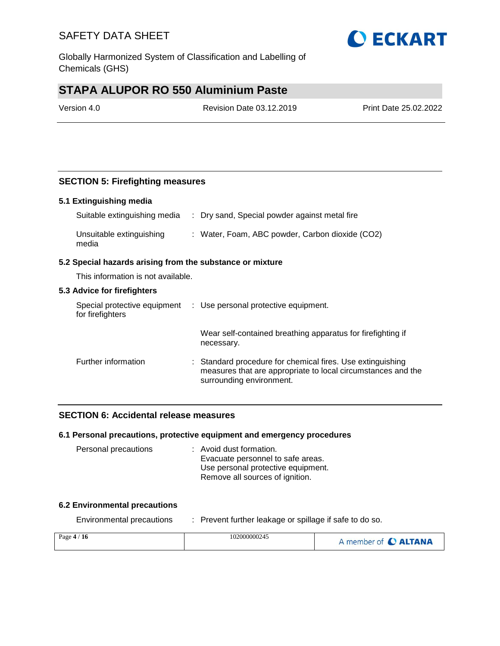Globally Harmonized System of Classification and Labelling of Chemicals (GHS)

# **STAPA ALUPOR RO 550 Aluminium Paste**

Version 4.0 Revision Date 03.12.2019 Print Date 25.02.2022

### **SECTION 5: Firefighting measures**

#### **5.1 Extinguishing media**

| Suitable extinguishing media      | : Dry sand, Special powder against metal fire   |
|-----------------------------------|-------------------------------------------------|
| Unsuitable extinguishing<br>media | : Water, Foam, ABC powder, Carbon dioxide (CO2) |

#### **5.2 Special hazards arising from the substance or mixture**

This information is not available.

#### **5.3 Advice for firefighters**

| Special protective equipment<br>for firefighters | : Use personal protective equipment.                                                                                                                   |
|--------------------------------------------------|--------------------------------------------------------------------------------------------------------------------------------------------------------|
|                                                  | Wear self-contained breathing apparatus for firefighting if<br>necessary.                                                                              |
| Further information                              | : Standard procedure for chemical fires. Use extinguishing<br>measures that are appropriate to local circumstances and the<br>surrounding environment. |

#### **SECTION 6: Accidental release measures**

#### **6.1 Personal precautions, protective equipment and emergency procedures**

| Personal precautions | : Avoid dust formation.            |
|----------------------|------------------------------------|
|                      | Evacuate personnel to safe areas.  |
|                      | Use personal protective equipment. |
|                      | Remove all sources of ignition.    |

#### **6.2 Environmental precautions**

Environmental precautions : Prevent further leakage or spillage if safe to do so.

| Page $4/16$ | 102000000245 | A member of C ALTANA |
|-------------|--------------|----------------------|
|             |              |                      |

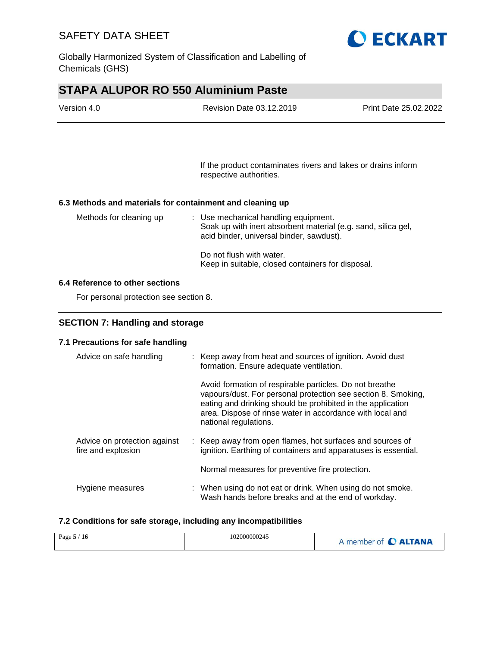

Globally Harmonized System of Classification and Labelling of Chemicals (GHS)

# **STAPA ALUPOR RO 550 Aluminium Paste**

| Version 4.0 | <b>Revision Date 03.12.2019</b> | Print Date 25.02.2022 |
|-------------|---------------------------------|-----------------------|
|             |                                 |                       |

If the product contaminates rivers and lakes or drains inform respective authorities.

#### **6.3 Methods and materials for containment and cleaning up**

| Methods for cleaning up | : Use mechanical handling equipment.<br>Soak up with inert absorbent material (e.g. sand, silica gel,<br>acid binder, universal binder, sawdust). |
|-------------------------|---------------------------------------------------------------------------------------------------------------------------------------------------|
|                         | Do not flush with water.<br>Keep in suitable, closed containers for disposal.                                                                     |

#### **6.4 Reference to other sections**

For personal protection see section 8.

#### **SECTION 7: Handling and storage**

#### **7.1 Precautions for safe handling**

| Advice on safe handling                            | : Keep away from heat and sources of ignition. Avoid dust<br>formation. Ensure adequate ventilation.                                                                                                                                                                          |
|----------------------------------------------------|-------------------------------------------------------------------------------------------------------------------------------------------------------------------------------------------------------------------------------------------------------------------------------|
|                                                    | Avoid formation of respirable particles. Do not breathe<br>vapours/dust. For personal protection see section 8. Smoking,<br>eating and drinking should be prohibited in the application<br>area. Dispose of rinse water in accordance with local and<br>national regulations. |
| Advice on protection against<br>fire and explosion | : Keep away from open flames, hot surfaces and sources of<br>ignition. Earthing of containers and apparatuses is essential.                                                                                                                                                   |
|                                                    | Normal measures for preventive fire protection.                                                                                                                                                                                                                               |
| Hygiene measures                                   | : When using do not eat or drink. When using do not smoke.<br>Wash hands before breaks and at the end of workday.                                                                                                                                                             |

#### **7.2 Conditions for safe storage, including any incompatibilities**

| Page $5/16$ | 102000000245 | A member of <b>C ALTANA</b> |
|-------------|--------------|-----------------------------|
|-------------|--------------|-----------------------------|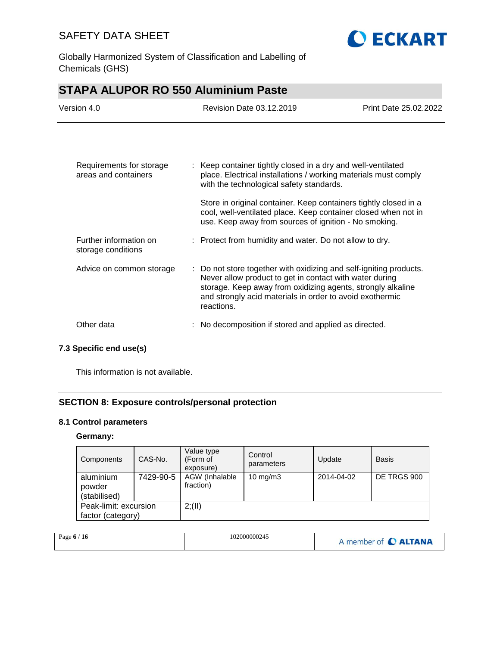

Globally Harmonized System of Classification and Labelling of Chemicals (GHS)

| <b>STAPA ALUPOR RO 550 Aluminium Paste</b>       |                                                                                                                                                                                                                                                                        |                       |  |
|--------------------------------------------------|------------------------------------------------------------------------------------------------------------------------------------------------------------------------------------------------------------------------------------------------------------------------|-----------------------|--|
| Version 4.0                                      | Revision Date 03.12.2019                                                                                                                                                                                                                                               | Print Date 25,02,2022 |  |
|                                                  |                                                                                                                                                                                                                                                                        |                       |  |
| Requirements for storage<br>areas and containers | : Keep container tightly closed in a dry and well-ventilated<br>place. Electrical installations / working materials must comply<br>with the technological safety standards.                                                                                            |                       |  |
|                                                  | Store in original container. Keep containers tightly closed in a<br>cool, well-ventilated place. Keep container closed when not in<br>use. Keep away from sources of ignition - No smoking.                                                                            |                       |  |
| Further information on<br>storage conditions     | : Protect from humidity and water. Do not allow to dry.                                                                                                                                                                                                                |                       |  |
| Advice on common storage                         | : Do not store together with oxidizing and self-igniting products.<br>Never allow product to get in contact with water during<br>storage. Keep away from oxidizing agents, strongly alkaline<br>and strongly acid materials in order to avoid exothermic<br>reactions. |                       |  |
| Other data                                       | No decomposition if stored and applied as directed.                                                                                                                                                                                                                    |                       |  |

### **7.3 Specific end use(s)**

This information is not available.

### **SECTION 8: Exposure controls/personal protection**

### **8.1 Control parameters**

### **Germany:**

| Components                                 | CAS-No.   | Value type<br>(Form of<br>exposure) | Control<br>parameters | Update     | <b>Basis</b> |
|--------------------------------------------|-----------|-------------------------------------|-----------------------|------------|--------------|
| aluminium<br>powder<br>(stabilised)        | 7429-90-5 | AGW (Inhalable<br>fraction)         | $10 \text{ mg/m}$     | 2014-04-02 | DE TRGS 900  |
| Peak-limit: excursion<br>factor (category) |           | 2; (II)                             |                       |            |              |

| Page $6/16$ | 102000000245 | A member of C ALTANA |
|-------------|--------------|----------------------|
|-------------|--------------|----------------------|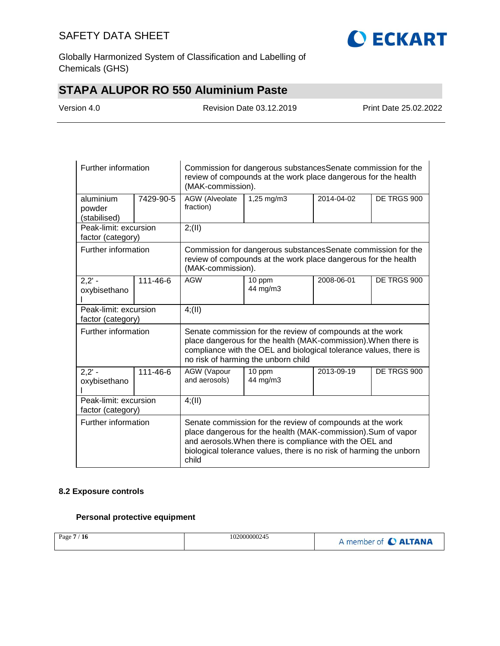

Globally Harmonized System of Classification and Labelling of Chemicals (GHS)

# **STAPA ALUPOR RO 550 Aluminium Paste**

| Version 4.0 |
|-------------|
|-------------|

Revision Date 03.12.2019 Print Date 25.02.2022

| Further information                        |           | Commission for dangerous substances Senate commission for the<br>review of compounds at the work place dangerous for the health<br>(MAK-commission).                                                                                    |                                                                                                                                                                                                                                                              |            |             |  |
|--------------------------------------------|-----------|-----------------------------------------------------------------------------------------------------------------------------------------------------------------------------------------------------------------------------------------|--------------------------------------------------------------------------------------------------------------------------------------------------------------------------------------------------------------------------------------------------------------|------------|-------------|--|
| aluminium<br>powder<br>(stabilised)        | 7429-90-5 | AGW (Alveolate<br>fraction)                                                                                                                                                                                                             | 1,25 mg/m3                                                                                                                                                                                                                                                   | 2014-04-02 | DE TRGS 900 |  |
| Peak-limit: excursion<br>factor (category) |           | 2; (II)                                                                                                                                                                                                                                 |                                                                                                                                                                                                                                                              |            |             |  |
| Further information                        |           | (MAK-commission).                                                                                                                                                                                                                       | Commission for dangerous substances Senate commission for the<br>review of compounds at the work place dangerous for the health                                                                                                                              |            |             |  |
| $2,2' -$<br>oxybisethano                   | 111-46-6  | <b>AGW</b>                                                                                                                                                                                                                              | 10 ppm<br>44 mg/m3                                                                                                                                                                                                                                           | 2008-06-01 | DE TRGS 900 |  |
| Peak-limit: excursion<br>factor (category) |           | 4(11)                                                                                                                                                                                                                                   |                                                                                                                                                                                                                                                              |            |             |  |
| Further information                        |           | Senate commission for the review of compounds at the work<br>place dangerous for the health (MAK-commission). When there is<br>compliance with the OEL and biological tolerance values, there is<br>no risk of harming the unborn child |                                                                                                                                                                                                                                                              |            |             |  |
| $2,2' -$<br>oxybisethano                   | 111-46-6  | AGW (Vapour<br>and aerosols)                                                                                                                                                                                                            | 10 ppm<br>44 mg/m3                                                                                                                                                                                                                                           | 2013-09-19 | DE TRGS 900 |  |
| Peak-limit: excursion<br>factor (category) |           | 4(11)                                                                                                                                                                                                                                   |                                                                                                                                                                                                                                                              |            |             |  |
| Further information                        |           | child                                                                                                                                                                                                                                   | Senate commission for the review of compounds at the work<br>place dangerous for the health (MAK-commission). Sum of vapor<br>and aerosols. When there is compliance with the OEL and<br>biological tolerance values, there is no risk of harming the unborn |            |             |  |

#### **8.2 Exposure controls**

### **Personal protective equipment**

| Page 7 / 16 | 102000000245 | A member of C ALTANA |
|-------------|--------------|----------------------|
|-------------|--------------|----------------------|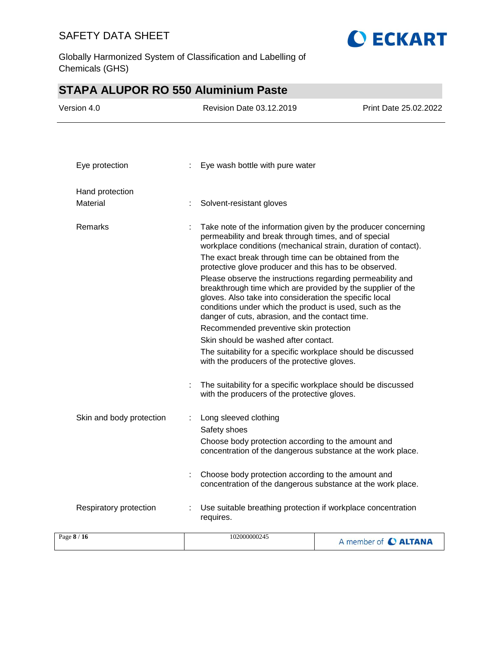

Globally Harmonized System of Classification and Labelling of Chemicals (GHS)

# **STAPA ALUPOR RO 550 Aluminium Paste**

| Version 4.0                 | Revision Date 03.12.2019                                                                                                                                                                                                                                                                                                                                                                                                                                                                                                                                                                                                                                                                                                                                                                                           | Print Date 25.02.2022 |
|-----------------------------|--------------------------------------------------------------------------------------------------------------------------------------------------------------------------------------------------------------------------------------------------------------------------------------------------------------------------------------------------------------------------------------------------------------------------------------------------------------------------------------------------------------------------------------------------------------------------------------------------------------------------------------------------------------------------------------------------------------------------------------------------------------------------------------------------------------------|-----------------------|
| Eye protection              | Eye wash bottle with pure water                                                                                                                                                                                                                                                                                                                                                                                                                                                                                                                                                                                                                                                                                                                                                                                    |                       |
|                             |                                                                                                                                                                                                                                                                                                                                                                                                                                                                                                                                                                                                                                                                                                                                                                                                                    |                       |
| Hand protection<br>Material | Solvent-resistant gloves                                                                                                                                                                                                                                                                                                                                                                                                                                                                                                                                                                                                                                                                                                                                                                                           |                       |
|                             |                                                                                                                                                                                                                                                                                                                                                                                                                                                                                                                                                                                                                                                                                                                                                                                                                    |                       |
| Remarks                     | Take note of the information given by the producer concerning<br>permeability and break through times, and of special<br>workplace conditions (mechanical strain, duration of contact).<br>The exact break through time can be obtained from the<br>protective glove producer and this has to be observed.<br>Please observe the instructions regarding permeability and<br>breakthrough time which are provided by the supplier of the<br>gloves. Also take into consideration the specific local<br>conditions under which the product is used, such as the<br>danger of cuts, abrasion, and the contact time.<br>Recommended preventive skin protection<br>Skin should be washed after contact.<br>The suitability for a specific workplace should be discussed<br>with the producers of the protective gloves. |                       |
|                             | The suitability for a specific workplace should be discussed<br>with the producers of the protective gloves.                                                                                                                                                                                                                                                                                                                                                                                                                                                                                                                                                                                                                                                                                                       |                       |
| Skin and body protection    | Long sleeved clothing<br>Safety shoes<br>Choose body protection according to the amount and<br>concentration of the dangerous substance at the work place.<br>Choose body protection according to the amount and<br>concentration of the dangerous substance at the work place.                                                                                                                                                                                                                                                                                                                                                                                                                                                                                                                                    |                       |
| Respiratory protection      | Use suitable breathing protection if workplace concentration<br>requires.                                                                                                                                                                                                                                                                                                                                                                                                                                                                                                                                                                                                                                                                                                                                          |                       |
| Page 8 / 16                 | 102000000245                                                                                                                                                                                                                                                                                                                                                                                                                                                                                                                                                                                                                                                                                                                                                                                                       | A member of C ALTANA  |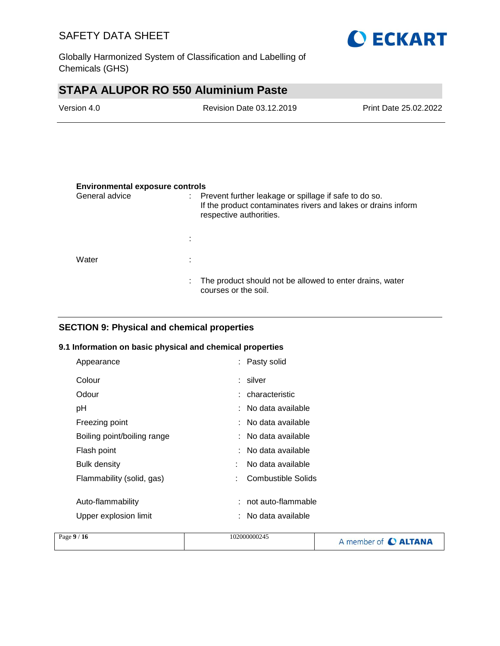

Globally Harmonized System of Classification and Labelling of Chemicals (GHS)

# **STAPA ALUPOR RO 550 Aluminium Paste**

| Version 4.0 | Revision Date 03.12.2019 | <b>Print Date 25.02.2022</b> |
|-------------|--------------------------|------------------------------|
|             |                          |                              |

#### **Environmental exposure controls**

| General advice | ÷. | Prevent further leakage or spillage if safe to do so.<br>If the product contaminates rivers and lakes or drains inform<br>respective authorities. |
|----------------|----|---------------------------------------------------------------------------------------------------------------------------------------------------|
|                | ÷  |                                                                                                                                                   |
| Water          | ٠  |                                                                                                                                                   |
|                | ÷. | The product should not be allowed to enter drains, water<br>courses or the soil.                                                                  |

### **SECTION 9: Physical and chemical properties**

#### **9.1 Information on basic physical and chemical properties**

| Appearance                  | : Pasty solid           |  |
|-----------------------------|-------------------------|--|
| Colour                      | : silver                |  |
| Odour                       | : characteristic        |  |
| рH                          | $:$ No data available   |  |
| Freezing point              | $:$ No data available   |  |
| Boiling point/boiling range | $:$ No data available   |  |
| Flash point                 | $:$ No data available   |  |
| <b>Bulk density</b>         | No data available<br>÷  |  |
| Flammability (solid, gas)   | Combustible Solids<br>÷ |  |
|                             |                         |  |
| Auto-flammability           | not auto-flammable      |  |
| Upper explosion limit       | No data available       |  |
|                             |                         |  |

| Page $9/16$<br>102000000245 | A member of C ALTANA |
|-----------------------------|----------------------|
|-----------------------------|----------------------|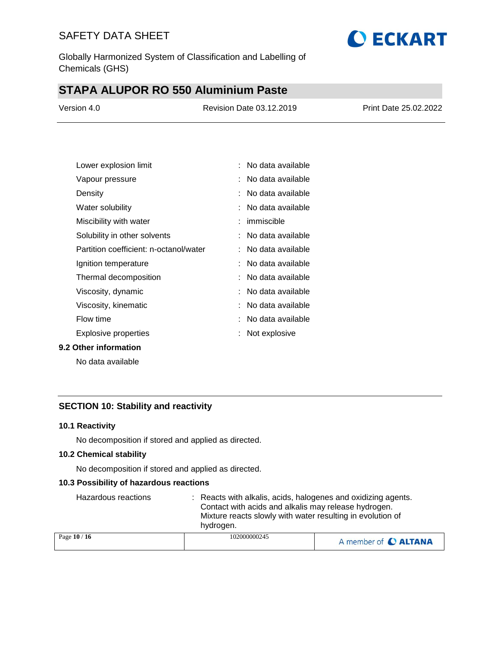

Globally Harmonized System of Classification and Labelling of Chemicals (GHS)

# **STAPA ALUPOR RO 550 Aluminium Paste**

| Version 4.0 | Revision Date 03.12.2019 | Print Date 25.02.2022 |
|-------------|--------------------------|-----------------------|
|             |                          |                       |

| Lower explosion limit                  | No data available     |
|----------------------------------------|-----------------------|
| Vapour pressure                        | No data available     |
| Density                                | :   No data available |
| Water solubility                       | No data available     |
| Miscibility with water                 | : immiscible          |
| Solubility in other solvents           | : No data available   |
| Partition coefficient: n-octanol/water | No data available     |
| Ignition temperature                   | No data available     |
| Thermal decomposition                  | :   No data available |
| Viscosity, dynamic                     | : No data available   |
| Viscosity, kinematic                   | No data available     |
| Flow time                              | : No data available   |
| Explosive properties                   | Not explosive         |

#### **9.2 Other information**

No data available

### **SECTION 10: Stability and reactivity**

#### **10.1 Reactivity**

No decomposition if stored and applied as directed.

#### **10.2 Chemical stability**

No decomposition if stored and applied as directed.

#### **10.3 Possibility of hazardous reactions**

| Hazardous reactions | : Reacts with alkalis, acids, halogenes and oxidizing agents.<br>Contact with acids and alkalis may release hydrogen.<br>Mixture reacts slowly with water resulting in evolution of<br>hydrogen. |                      |
|---------------------|--------------------------------------------------------------------------------------------------------------------------------------------------------------------------------------------------|----------------------|
| Page 10 / 16        | 102000000245                                                                                                                                                                                     | A member of C ALTANA |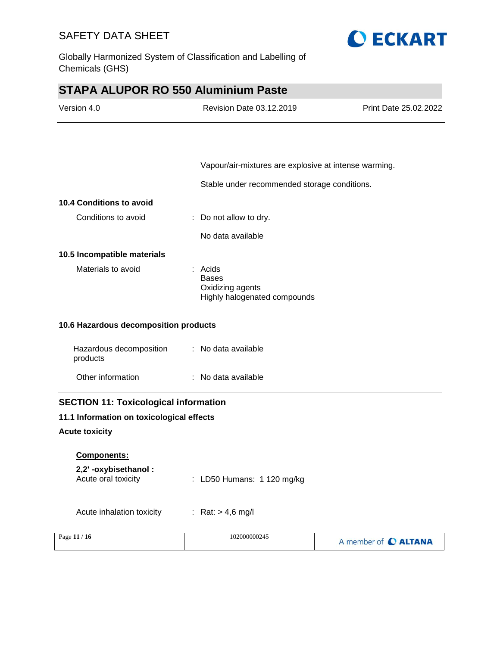

Globally Harmonized System of Classification and Labelling of Chemicals (GHS)

# **STAPA ALUPOR RO 550 Aluminium Paste**

| Version 4.0                                  | <b>Revision Date 03.12.2019</b>                                               | Print Date 25.02.2022 |
|----------------------------------------------|-------------------------------------------------------------------------------|-----------------------|
|                                              |                                                                               |                       |
|                                              | Vapour/air-mixtures are explosive at intense warming.                         |                       |
|                                              | Stable under recommended storage conditions.                                  |                       |
| 10.4 Conditions to avoid                     |                                                                               |                       |
| Conditions to avoid                          | Do not allow to dry.                                                          |                       |
|                                              | No data available                                                             |                       |
| 10.5 Incompatible materials                  |                                                                               |                       |
| Materials to avoid                           | $:$ Acids<br><b>Bases</b><br>Oxidizing agents<br>Highly halogenated compounds |                       |
| 10.6 Hazardous decomposition products        |                                                                               |                       |
| Hazardous decomposition<br>products          | : No data available                                                           |                       |
| Other information                            | : No data available                                                           |                       |
| <b>SECTION 11: Toxicological information</b> |                                                                               |                       |
| 11.1 Information on toxicological effects    |                                                                               |                       |
| <b>Acute toxicity</b>                        |                                                                               |                       |
| Components:                                  |                                                                               |                       |
| 2,2'-oxybisethanol:<br>Acute oral toxicity   | LD50 Humans: 1 120 mg/kg                                                      |                       |
| Acute inhalation toxicity                    | : Rat: $> 4.6$ mg/l                                                           |                       |
| Page 11 / 16                                 | 102000000245                                                                  | A member of C ALTANA  |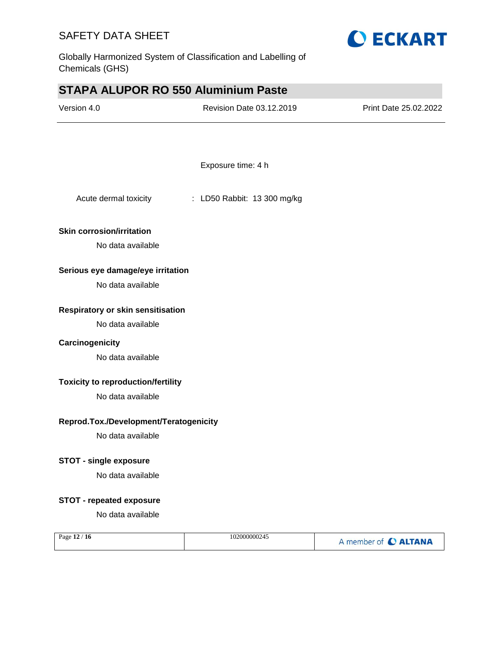

Globally Harmonized System of Classification and Labelling of Chemicals (GHS)

# **STAPA ALUPOR RO 550 Aluminium Paste**

| Version 4.0                               | Revision Date 03.12.2019    | Print Date 25.02.2022 |
|-------------------------------------------|-----------------------------|-----------------------|
|                                           |                             |                       |
|                                           | Exposure time: 4 h          |                       |
| Acute dermal toxicity                     | : LD50 Rabbit: 13 300 mg/kg |                       |
| <b>Skin corrosion/irritation</b>          |                             |                       |
| No data available                         |                             |                       |
| Serious eye damage/eye irritation         |                             |                       |
| No data available                         |                             |                       |
| Respiratory or skin sensitisation         |                             |                       |
| No data available                         |                             |                       |
| Carcinogenicity                           |                             |                       |
| No data available                         |                             |                       |
| <b>Toxicity to reproduction/fertility</b> |                             |                       |
| No data available                         |                             |                       |
| Reprod.Tox./Development/Teratogenicity    |                             |                       |
| No data available                         |                             |                       |
| <b>STOT - single exposure</b>             |                             |                       |
| No data available                         |                             |                       |
| <b>STOT - repeated exposure</b>           |                             |                       |
| No data available                         |                             |                       |
| Page 12 / 16                              | 102000000245                | A member of C ALTANA  |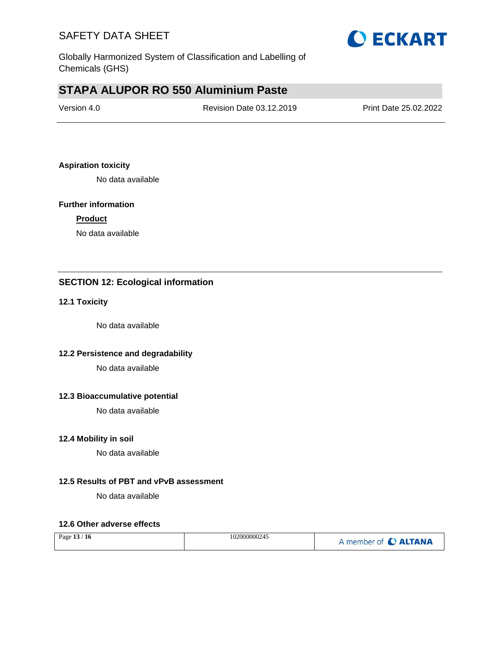

Globally Harmonized System of Classification and Labelling of Chemicals (GHS)

# **STAPA ALUPOR RO 550 Aluminium Paste**

| Version 4.0 | Revision Date 03.12.2019 | Print Date 25.02.2022 |
|-------------|--------------------------|-----------------------|
|             |                          |                       |

#### **Aspiration toxicity**

No data available

#### **Further information**

#### **Product**

No data available

### **SECTION 12: Ecological information**

#### **12.1 Toxicity**

No data available

### **12.2 Persistence and degradability**

No data available

#### **12.3 Bioaccumulative potential**

No data available

#### **12.4 Mobility in soil**

No data available

#### **12.5 Results of PBT and vPvB assessment**

No data available

#### **12.6 Other adverse effects**

| Page 13 / 16 | 102000000245 | A member of C ALTANA |
|--------------|--------------|----------------------|
|--------------|--------------|----------------------|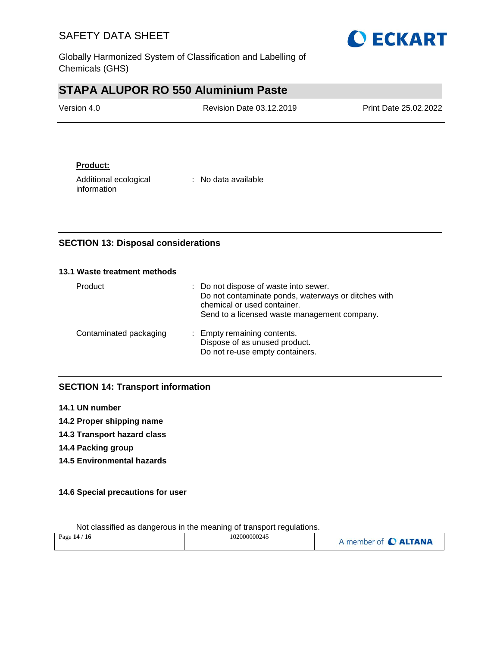

Globally Harmonized System of Classification and Labelling of Chemicals (GHS)

# **STAPA ALUPOR RO 550 Aluminium Paste**

| Version 4.0 | <b>Revision Date 03.12.2019</b> | <b>Print Date 25.02.2022</b> |
|-------------|---------------------------------|------------------------------|
|             |                                 |                              |

### **Product:**

Additional ecological information

: No data available

### **SECTION 13: Disposal considerations**

#### **13.1 Waste treatment methods**

| Product                | : Do not dispose of waste into sewer.<br>Do not contaminate ponds, waterways or ditches with<br>chemical or used container.<br>Send to a licensed waste management company. |
|------------------------|-----------------------------------------------------------------------------------------------------------------------------------------------------------------------------|
| Contaminated packaging | : Empty remaining contents.<br>Dispose of as unused product.<br>Do not re-use empty containers.                                                                             |

### **SECTION 14: Transport information**

- **14.1 UN number**
- **14.2 Proper shipping name**
- **14.3 Transport hazard class**
- **14.4 Packing group**
- **14.5 Environmental hazards**

### **14.6 Special precautions for user**

| Page 14 / 16 | 102000000245 | A member of C ALTANA |
|--------------|--------------|----------------------|
|              |              |                      |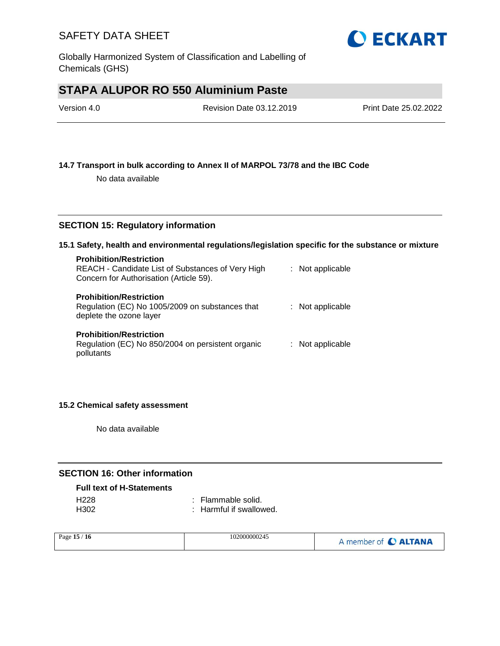

# **STAPA ALUPOR RO 550 Aluminium Paste**

| Version 4.0 | Revision Date 03.12.2019 | Print Date 25.02.2022 |
|-------------|--------------------------|-----------------------|
|             |                          |                       |

#### **14.7 Transport in bulk according to Annex II of MARPOL 73/78 and the IBC Code**

No data available

#### **SECTION 15: Regulatory information**

#### **15.1 Safety, health and environmental regulations/legislation specific for the substance or mixture**

| <b>Prohibition/Restriction</b><br>REACH - Candidate List of Substances of Very High<br>Concern for Authorisation (Article 59). | : Not applicable |
|--------------------------------------------------------------------------------------------------------------------------------|------------------|
| <b>Prohibition/Restriction</b><br>Regulation (EC) No 1005/2009 on substances that<br>deplete the ozone layer                   | : Not applicable |
| <b>Prohibition/Restriction</b><br>Regulation (EC) No 850/2004 on persistent organic<br>pollutants                              | : Not applicable |

#### **15.2 Chemical safety assessment**

No data available

### **SECTION 16: Other information**

#### **Full text of H-Statements**

| H <sub>228</sub> | : Flammable solid.      |
|------------------|-------------------------|
| H <sub>302</sub> | : Harmful if swallowed. |

| Page $15/$<br>ี 16 | 102000000245 | A member of C ALTANA |
|--------------------|--------------|----------------------|
|--------------------|--------------|----------------------|